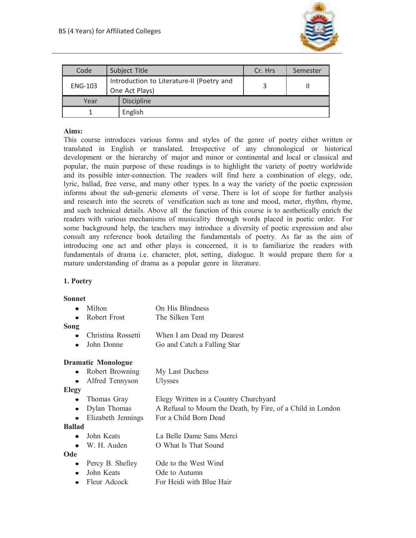

| Code           | Subject Title                                               | Cr. Hrs | Semester |
|----------------|-------------------------------------------------------------|---------|----------|
| <b>ENG-103</b> | Introduction to Literature-II (Poetry and<br>One Act Plays) |         |          |
| Year           | <b>Discipline</b>                                           |         |          |
|                | English                                                     |         |          |

## **Aims:**

This course introduces various forms and styles of the genre of poetry either written or translated in English or translated. Irrespective of any chronological or historical development or the hierarchy of major and minor or continental and local or classical and popular, the main purpose of these readings is to highlight the variety of poetry worldwide and its possible inter-connection. The readers will find here a combination of elegy, ode, lyric, ballad, free verse, and many other types. In a way the variety of the poetic expression informs about the sub-generic elements of verse. There is lot of scope for further analysis and research into the secrets of versification such as tone and mood, meter, rhythm, rhyme, and such technical details. Above all the function of this course is to aesthetically enrich the readers with various mechanisms of musicality through words placed in poetic order. For some background help, the teachers may introduce a diversity of poetic expression and also consult any reference book detailing the fundamentals of poetry. As far as the aim of introducing one act and other plays is concerned, it is to familiarize the readers with fundamentals of drama i.e. character, plot, setting, dialogue. It would prepare them for a mature understanding of drama as a popular genre in literature.

# **1. Poetry**

#### **Sonnet**

|      | $\bullet$ Milton       | On His Blindness          |
|------|------------------------|---------------------------|
|      | $\bullet$ Robert Frost | The Silken Tent           |
| Song |                        |                           |
|      | • Christina Rossetti   | When I am Dead my Dearest |

John Donne Go and Catch a Falling Star

#### **Dramatic Monologue**

- Robert Browning My Last Duchess  $\bullet$
- Alfred Tennyson Ulysses

#### **Elegy**

- Thomas Gray Elegy Written in a Country Churchyard • Dylan Thomas A Refusal to Mourn the Death, by Fire, of a Child in London
- Elizabeth Jennings For a Child Born Dead

#### **Ballad**

- John Keats La Belle Dame Sans Merci
- W. H. Auden O What Is That Sound

#### **Ode**

- Percy B. Shelley Ode to the West Wind
- John Keats Ode to Autumn
- Fleur Adcock For Heidi with Blue Hair